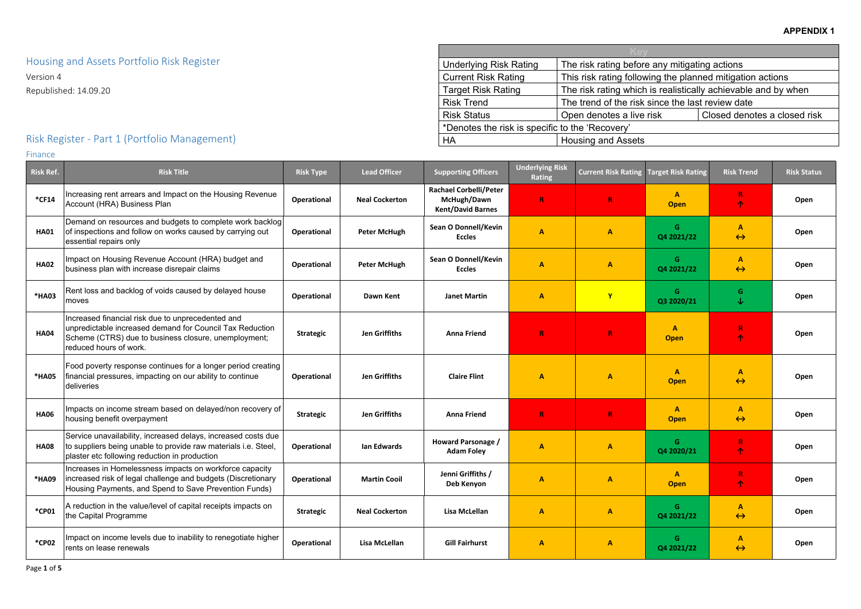| any mitigating actions              |                                         |  |  |  |  |  |  |
|-------------------------------------|-----------------------------------------|--|--|--|--|--|--|
| ng the planned mitigation actions   |                                         |  |  |  |  |  |  |
|                                     | is realistically achievable and by when |  |  |  |  |  |  |
|                                     | ince the last review date               |  |  |  |  |  |  |
| Closed denotes a closed risk<br>isk |                                         |  |  |  |  |  |  |
|                                     |                                         |  |  |  |  |  |  |

Housing and Assets Portfolio Risk Register

Version 4 Republished: 14.09.20

# Risk Register - Part 1 (Portfolio Management)

#### Finance

| Risk Ref.   | <b>Risk Title</b>                                                                                                                                                                               | <b>Risk Type</b>   | <b>Lead Officer</b>   | <b>Supporting Officers</b>                                               | <b>Underlying Risk</b><br><b>Rating</b> | <b>Current Risk Rating</b> | <b>Target Risk Rating</b>   | <b>Risk Trend</b>                 | <b>Risk Status</b> |
|-------------|-------------------------------------------------------------------------------------------------------------------------------------------------------------------------------------------------|--------------------|-----------------------|--------------------------------------------------------------------------|-----------------------------------------|----------------------------|-----------------------------|-----------------------------------|--------------------|
| $*$ CF14    | Increasing rent arrears and Impact on the Housing Revenue<br>Account (HRA) Business Plan                                                                                                        | <b>Operational</b> | <b>Neal Cockerton</b> | <b>Rachael Corbelli/Peter</b><br>McHugh/Dawn<br><b>Kent/David Barnes</b> | $\mathbf R$                             | $\mathbf R$                | $\mathbf{A}$<br><b>Open</b> | T.<br>ቶ                           | Open               |
| <b>HA01</b> | Demand on resources and budgets to complete work backlog<br>of inspections and follow on works caused by carrying out<br>essential repairs only                                                 | <b>Operational</b> | <b>Peter McHugh</b>   | Sean O Donnell/Kevin<br><b>Eccles</b>                                    | $\mathbf{A}$                            | A                          | G<br>Q4 2021/22             | A<br>$\leftrightarrow$            | Open               |
| <b>HA02</b> | Impact on Housing Revenue Account (HRA) budget and<br>business plan with increase disrepair claims                                                                                              | <b>Operational</b> | <b>Peter McHugh</b>   | Sean O Donnell/Kevin<br><b>Eccles</b>                                    | $\mathbf{A}$                            | A                          | G<br>Q4 2021/22             | A<br>$\leftrightarrow$            | Open               |
| *HA03       | Rent loss and backlog of voids caused by delayed house<br>moves                                                                                                                                 | Operational        | <b>Dawn Kent</b>      | <b>Janet Martin</b>                                                      | $\mathbf{A}$                            | $\mathbf{Y}$               | G<br>Q3 2020/21             | G<br>↓                            | Open               |
| <b>HA04</b> | Increased financial risk due to unprecedented and<br>unpredictable increased demand for Council Tax Reduction<br>Scheme (CTRS) due to business closure, unemployment;<br>reduced hours of work. | <b>Strategic</b>   | <b>Jen Griffiths</b>  | <b>Anna Friend</b>                                                       | $\mathbf R$                             | $\mathbf R$                | A<br><b>Open</b>            | R<br>ቶ                            | Open               |
| *HA05       | Food poverty response continues for a longer period creating<br>financial pressures, impacting on our ability to continue<br>deliveries                                                         | Operational        | <b>Jen Griffiths</b>  | <b>Claire Flint</b>                                                      | $\mathbf{A}$                            | A                          | $\mathbf{A}$<br><b>Open</b> | A<br>$\leftrightarrow$            | Open               |
| <b>HA06</b> | Impacts on income stream based on delayed/non recovery of<br>housing benefit overpayment                                                                                                        | <b>Strategic</b>   | <b>Jen Griffiths</b>  | <b>Anna Friend</b>                                                       | $\mathbf R$                             | $\mathbf R$                | $\mathbf{A}$<br><b>Open</b> | A<br>$\leftrightarrow$            | Open               |
| <b>HA08</b> | Service unavailability, increased delays, increased costs due<br>to suppliers being unable to provide raw materials i.e. Steel,<br>plaster etc following reduction in production                | <b>Operational</b> | Ian Edwards           | Howard Parsonage /<br><b>Adam Foley</b>                                  | $\mathbf{A}$                            | A                          | G<br>Q4 2020/21             | R<br>$\hat{\mathbf{T}}$           | Open               |
| *HA09       | Increases in Homelessness impacts on workforce capacity<br>increased risk of legal challenge and budgets (Discretionary<br>Housing Payments, and Spend to Save Prevention Funds)                | <b>Operational</b> | <b>Martin Cooil</b>   | Jenni Griffiths /<br>Deb Kenyon                                          | $\mathbf{A}$                            | A                          | А<br><b>Open</b>            |                                   | Open               |
| *CP01       | A reduction in the value/level of capital receipts impacts on<br>the Capital Programme                                                                                                          | <b>Strategic</b>   | <b>Neal Cockerton</b> | Lisa McLellan                                                            | $\mathbf{A}$                            | A                          | $\mathsf{G}$<br>Q4 2021/22  | $\mathbf{A}$<br>$\leftrightarrow$ | Open               |
| *CP02       | Impact on income levels due to inability to renegotiate higher<br>rents on lease renewals                                                                                                       | Operational        | Lisa McLellan         | <b>Gill Fairhurst</b>                                                    | $\mathbf{A}$                            | A                          | G<br>Q4 2021/22             | A<br>$\leftrightarrow$            | Open               |

Underlying Risk Rating The risk rating before<br>Current Risk Rating This risk rating followir This risk rating followin Target Risk Rating The risk rating which is Risk Trend The trend of the risk since the last review of the risk since the last review of the risk since the last review of the risk since the last review of the risk since the last review of the risk since the last revi Risk Status **Close Close Close Close Figure 1** Open denotes a live risk \*Denotes the risk is specific to the 'Recovery' HA Housing and Assets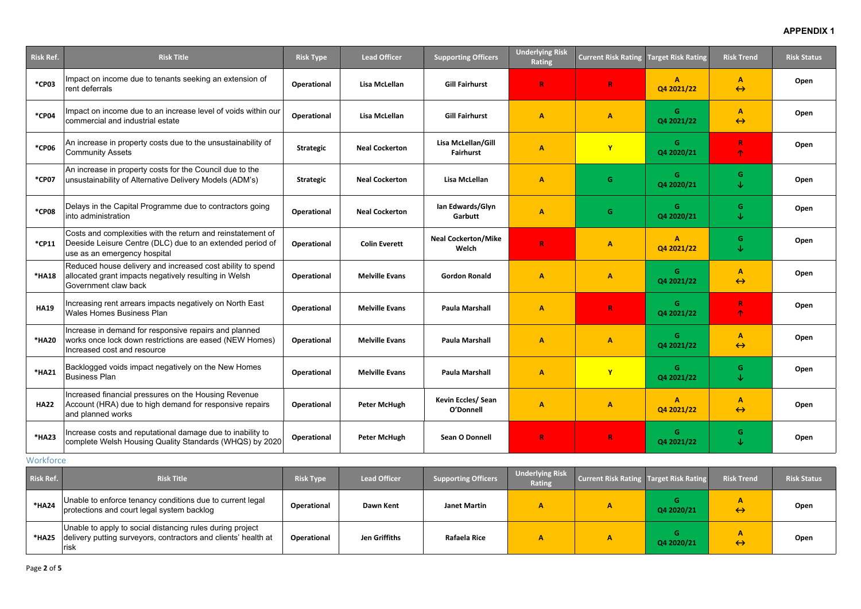| <b>Risk Ref.</b> | <b>Risk Title</b>                                                                                                                                        | <b>Risk Type</b>   | <b>Lead Officer</b>   | <b>Supporting Officers</b>             | <b>Underlying Risk</b><br><b>Rating</b> | <b>Current Risk Rating</b> | <b>Target Risk Rating</b>    | <b>Risk Trend</b>      | <b>Risk Status</b> |
|------------------|----------------------------------------------------------------------------------------------------------------------------------------------------------|--------------------|-----------------------|----------------------------------------|-----------------------------------------|----------------------------|------------------------------|------------------------|--------------------|
| *CP03            | Impact on income due to tenants seeking an extension of<br>rent deferrals                                                                                | Operational        | Lisa McLellan         | <b>Gill Fairhurst</b>                  | $\mathbf R$                             | $\mathbf{R}$               | $\mathbf{A}$<br>Q4 2021/22   | A<br>$\leftrightarrow$ | Open               |
| *CP04            | Impact on income due to an increase level of voids within our<br>commercial and industrial estate                                                        | Operational        | Lisa McLellan         | <b>Gill Fairhurst</b>                  | $\mathbf{A}$                            | A                          | G<br>Q4 2021/22              | A<br>$\leftrightarrow$ | Open               |
| *CP06            | An increase in property costs due to the unsustainability of<br><b>Community Assets</b>                                                                  | <b>Strategic</b>   | <b>Neal Cockerton</b> | Lisa McLellan/Gill<br><b>Fairhurst</b> | $\mathbf{A}$                            | $\mathbf{Y}$               | G<br>Q4 2020/21              | R<br>个                 | Open               |
| *CP07            | An increase in property costs for the Council due to the<br>unsustainability of Alternative Delivery Models (ADM's)                                      | <b>Strategic</b>   | <b>Neal Cockerton</b> | Lisa McLellan                          | $\mathbf{A}$                            | G                          | G<br>Q4 2020/21              | G.<br>↓                | Open               |
| <b>*CP08</b>     | Delays in the Capital Programme due to contractors going<br>into administration                                                                          | Operational        | <b>Neal Cockerton</b> | Ian Edwards/Glyn<br>Garbutt            | $\overline{A}$                          | G.                         | G<br>Q4 2020/21              | G.<br>$\downarrow$     | Open               |
| *CP11            | Costs and complexities with the return and reinstatement of<br>Deeside Leisure Centre (DLC) due to an extended period of<br>use as an emergency hospital | Operational        | <b>Colin Everett</b>  | <b>Neal Cockerton/Mike</b><br>Welch    | $\mathbf R$                             | A                          | $\mathbf{A}$<br>Q4 2021/22   | G.<br>↓                | Open               |
| *HA18            | Reduced house delivery and increased cost ability to spend<br>allocated grant impacts negatively resulting in Welsh<br>Government claw back              | Operational        | <b>Melville Evans</b> | <b>Gordon Ronald</b>                   | $\mathbf{A}$                            | A                          | G<br>Q4 2021/22              | A<br>$\leftrightarrow$ | Open               |
| <b>HA19</b>      | Increasing rent arrears impacts negatively on North East<br><b>Wales Homes Business Plan</b>                                                             | <b>Operational</b> | <b>Melville Evans</b> | <b>Paula Marshall</b>                  | $\mathbf{A}$                            | $\mathbf R$                | G<br>Q4 2021/22              | R<br>个                 | Open               |
| *HA20            | Increase in demand for responsive repairs and planned<br>works once lock down restrictions are eased (NEW Homes)<br>Increased cost and resource          | Operational        | <b>Melville Evans</b> | <b>Paula Marshall</b>                  | $\mathbf{A}$                            | A                          | G<br>Q4 2021/22              | A<br>$\leftrightarrow$ | Open               |
| *HA21            | Backlogged voids impact negatively on the New Homes<br><b>Business Plan</b>                                                                              | Operational        | <b>Melville Evans</b> | <b>Paula Marshall</b>                  | $\mathbf{A}$                            |                            | G.<br>Q4 2021/22             | G.<br>↓                | Open               |
| <b>HA22</b>      | Increased financial pressures on the Housing Revenue<br>Account (HRA) due to high demand for responsive repairs<br>and planned works                     | Operational        | <b>Peter McHugh</b>   | Kevin Eccles/ Sean<br>O'Donnell        | $\mathbf{A}$                            | $\mathbf{A}$               | $\overline{A}$<br>Q4 2021/22 | A<br>$\leftrightarrow$ | Open               |
| *HA23            | Increase costs and reputational damage due to inability to<br>complete Welsh Housing Quality Standards (WHQS) by 2020                                    | Operational        | <b>Peter McHugh</b>   | Sean O Donnell                         | $\, {\bf R}$                            | $\mathbf R$                | G<br>Q4 2021/22              | G.<br>$\downarrow$     | Open               |

## **Workforce**

| <b>Risk Ref.</b> | <b>Risk Title</b>                                                                                                                    | <b>Risk Type</b>   | <b>Lead Officer</b> | <b>Supporting Officers</b> | <b>Underlying Risk</b><br><b>Rating</b> | <b>Current Risk Rating Target Risk Rating</b> |            | <b>Risk Trend</b> | <b>Risk Status</b> |
|------------------|--------------------------------------------------------------------------------------------------------------------------------------|--------------------|---------------------|----------------------------|-----------------------------------------|-----------------------------------------------|------------|-------------------|--------------------|
| *HA24            | Unable to enforce tenancy conditions due to current legal<br>protections and court legal system backlog                              | <b>Operational</b> | Dawn Kent           | <b>Janet Martin</b>        |                                         |                                               | Q4 2020/21 | $\leftrightarrow$ | Open               |
| *HA25            | Unable to apply to social distancing rules during project<br>delivery putting surveyors, contractors and clients' health at<br>∣risk | <b>Operational</b> | Jen Griffiths       | <b>Rafaela Rice</b>        |                                         |                                               | Q4 2020/21 | $\leftrightarrow$ | Open               |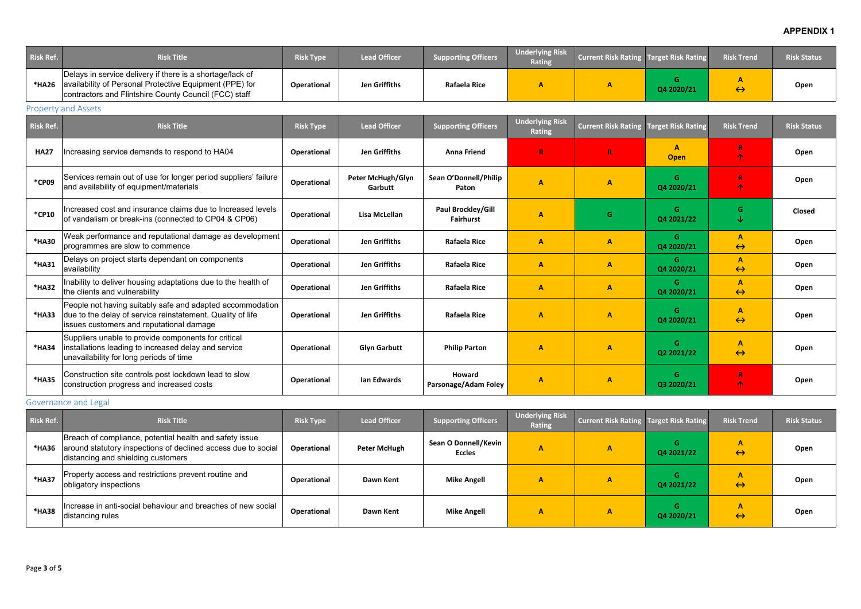| <b>Risk Ref.</b> | <b>Risk Title</b>                                                                                                                                                             | <b>Risk Type</b>   | <b>Lead Officer</b>                 | <b>Supporting Officers</b>             | <b>Underlying Risk</b><br>Rating        | <b>Current Risk Rating</b> | <b>Target Risk Rating</b> | <b>Risk Trend</b>      | <b>Risk Status</b> |
|------------------|-------------------------------------------------------------------------------------------------------------------------------------------------------------------------------|--------------------|-------------------------------------|----------------------------------------|-----------------------------------------|----------------------------|---------------------------|------------------------|--------------------|
| *HA26            | Delays in service delivery if there is a shortage/lack of<br>availability of Personal Protective Equipment (PPE) for<br>contractors and Flintshire County Council (FCC) staff | Operational        | <b>Jen Griffiths</b>                | Rafaela Rice                           | $\mathbf{A}$                            | $\mathbf{A}$               | G<br>Q4 2020/21           | A<br>$\leftrightarrow$ | Open               |
|                  | <b>Property and Assets</b>                                                                                                                                                    |                    |                                     |                                        |                                         |                            |                           |                        |                    |
| <b>Risk Ref.</b> | <b>Risk Title</b>                                                                                                                                                             | <b>Risk Type</b>   | <b>Lead Officer</b>                 | <b>Supporting Officers</b>             | <b>Underlying Risk</b><br><b>Rating</b> | <b>Current Risk Rating</b> | <b>Target Risk Rating</b> | <b>Risk Trend</b>      | <b>Risk Status</b> |
| <b>HA27</b>      | Increasing service demands to respond to HA04                                                                                                                                 | Operational        | <b>Jen Griffiths</b>                | <b>Anna Friend</b>                     | $\mathbf R$                             | R                          | A<br><b>Open</b>          | $\mathbb{R}$<br>个      | Open               |
| *CP09            | Services remain out of use for longer period suppliers' failure<br>and availability of equipment/materials                                                                    | <b>Operational</b> | <b>Peter McHugh/Glyn</b><br>Garbutt | Sean O'Donnell/Philip<br>Paton         | $\mathbf{A}$                            | $\mathbf{A}$               | G<br>Q4 2020/21           | R<br>个                 | Open               |
| *CP10            | Increased cost and insurance claims due to Increased levels<br>of vandalism or break-ins (connected to CP04 & CP06)                                                           | <b>Operational</b> | Lisa McLellan                       | Paul Brockley/Gill<br><b>Fairhurst</b> | $\mathbf{A}$                            | G                          | G.<br>Q4 2021/22          | G.<br>$\downarrow$     | <b>Closed</b>      |
| *HA30            | Weak performance and reputational damage as development<br>programmes are slow to commence                                                                                    | <b>Operational</b> | <b>Jen Griffiths</b>                | <b>Rafaela Rice</b>                    | $\mathbf{A}$                            | $\mathbf{A}$               | G.<br>Q4 2020/21          | A<br>$\leftrightarrow$ | Open               |
| *HA31            | Delays on project starts dependant on components<br>availability                                                                                                              | Operational        | <b>Jen Griffiths</b>                | <b>Rafaela Rice</b>                    | $\mathbf{A}$                            | A                          | G.<br>Q4 2020/21          | Α<br>$\leftrightarrow$ | Open               |
| *HA32            | Inability to deliver housing adaptations due to the health of<br>the clients and vulnerability                                                                                | <b>Operational</b> | <b>Jen Griffiths</b>                | <b>Rafaela Rice</b>                    | $\mathbf{A}$                            | A                          | G.<br>Q4 2020/21          | A<br>$\leftrightarrow$ | Open               |
| *HA33            | People not having suitably safe and adapted accommodation<br>due to the delay of service reinstatement. Quality of life<br>issues customers and reputational damage           | <b>Operational</b> | <b>Jen Griffiths</b>                | <b>Rafaela Rice</b>                    | $\mathbf{A}$                            | A                          | G<br>Q4 2020/21           | A<br>$\leftrightarrow$ | Open               |
| *HA34            | Suppliers unable to provide components for critical<br>installations leading to increased delay and service<br>unavailability for long periods of time                        | <b>Operational</b> | <b>Glyn Garbutt</b>                 | <b>Philip Parton</b>                   | $\mathbf{A}$                            | A                          | G<br>Q2 2021/22           | A<br>$\leftrightarrow$ | Open               |
| *HA35            | Construction site controls post lockdown lead to slow<br>construction progress and increased costs                                                                            | Operational        | <b>Ian Edwards</b>                  | <b>Howard</b><br>Parsonage/Adam Foley  | $\mathbf{A}$                            | $\mathbf{A}$               | G<br>Q3 2020/21           | $\mathbb{R}$<br>个      | Open               |

# Governance and Legal

| Risk Ref. | <b>Risk Title</b>                                                                                                                                              | <b>Risk Type</b>   | <b>Lead Officer</b> | <b>Supporting Officers</b>            | <b>Underlying Risk</b><br><b>Rating</b> | <b>Current Risk Rating Target Risk Rating</b> |                 | <b>Risk Trend</b> | <b>Risk Status</b> |
|-----------|----------------------------------------------------------------------------------------------------------------------------------------------------------------|--------------------|---------------------|---------------------------------------|-----------------------------------------|-----------------------------------------------|-----------------|-------------------|--------------------|
| *HA36     | Breach of compliance, potential health and safety issue<br>around statutory inspections of declined access due to social<br>distancing and shielding customers | <b>Operational</b> | <b>Peter McHugh</b> | Sean O Donnell/Kevin<br><b>Eccles</b> | А                                       | А                                             | G<br>Q4 2021/22 | $\leftrightarrow$ | Open               |
| *HA37     | Property access and restrictions prevent routine and<br>obligatory inspections                                                                                 | <b>Operational</b> | Dawn Kent           | <b>Mike Angell</b>                    | A                                       | А                                             | G<br>Q4 2021/22 | $\leftrightarrow$ | Open               |
| *HA38     | Increase in anti-social behaviour and breaches of new social<br>distancing rules                                                                               | <b>Operational</b> | Dawn Kent           | <b>Mike Angell</b>                    | A                                       | А                                             | Q4 2020/21      | $\leftrightarrow$ | Open               |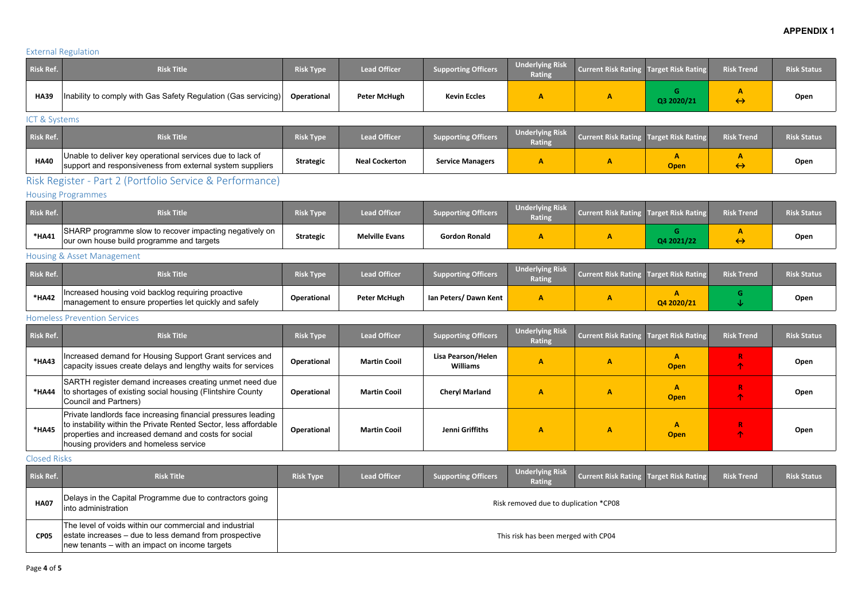# External Regulation

| <b>Risk Ref.</b> | <b>Risk Title</b>                                                      | <b>Risk Type</b>   | <b>Lead Officer</b> | <b>Supporting Officers</b> | <b>Underlying Risk</b><br>Rating | Current Risk Rating Target Risk Rating |            | <b>Risk Trend</b> | <b>Risk Status</b> |
|------------------|------------------------------------------------------------------------|--------------------|---------------------|----------------------------|----------------------------------|----------------------------------------|------------|-------------------|--------------------|
| <b>HA39</b>      | Inability to comply with Gas Safety Regulation (Gas servicing) $\vert$ | <b>Operational</b> | <b>Peter McHugh</b> | <b>Kevin Eccles</b>        |                                  |                                        | Q3 2020/21 | $\leftrightarrow$ | Open               |

ICT & Systems

| <b>Risk Ref.</b> | <b>Risk Title</b>                                                                                                      | <b>Risk Type</b> | <b>Lead Officer</b>   | <b>Supporting Officers</b> | <b>Underlying Risk</b><br><b>Rating</b> | Current Risk Rating Target Risk Rating |      | <b>Risk Trend</b> | <b>Risk Status</b> |
|------------------|------------------------------------------------------------------------------------------------------------------------|------------------|-----------------------|----------------------------|-----------------------------------------|----------------------------------------|------|-------------------|--------------------|
| <b>HA40</b>      | Unable to deliver key operational services due to lack of<br>support and responsiveness from external system suppliers | <b>Strategic</b> | <b>Neal Cockerton</b> | <b>Service Managers</b>    |                                         |                                        | Open | $\leftrightarrow$ | Open               |

# Risk Register - Part 2 (Portfolio Service & Performance)

Housing Programmes

| <b>Risk Ref.</b> | <b>Risk Title</b>                                                                                         | <b>Risk Type</b> | <b>Lead Officer</b>   | <b>Supporting Officers</b> | <b>Underlying Risk</b><br><b>Rating</b> | Current Risk Rating Target Risk Rating |            | <b>Risk Trend</b> | <b>Risk Status</b> |
|------------------|-----------------------------------------------------------------------------------------------------------|------------------|-----------------------|----------------------------|-----------------------------------------|----------------------------------------|------------|-------------------|--------------------|
| *HA41            | SHARP programme slow to recover impacting negatively on list<br>our own house build programme and targets | <b>Strategic</b> | <b>Melville Evans</b> | <b>Gordon Ronald</b>       |                                         |                                        | Q4 2021/22 | $\leftrightarrow$ | Open               |

# Housing & Asset Management

| Risk Ref. | <b>Risk Title</b>                                                                                                   | <b>Risk Type</b>   | <b>Lead Officer</b> | <b>Supporting Officers</b> | <b>Underlying Risk</b><br>Rating | <b>Current Risk Rating Target Risk Rating</b> |            | <b>Risk Trend</b> | <b>Risk Status</b> |
|-----------|---------------------------------------------------------------------------------------------------------------------|--------------------|---------------------|----------------------------|----------------------------------|-----------------------------------------------|------------|-------------------|--------------------|
| *HA42     | $\Box$ Increased housing void backlog requiring proactive<br>management to ensure properties let quickly and safely | <b>Operational</b> | <b>Peter McHugh</b> | Ian Peters/Dawn Kent       |                                  |                                               | Q4 2020/21 |                   | <b>Oper</b>        |

#### Homeless Prevention Services

| <b>Risk Ref.</b> | <b>Risk Title</b>                                                                                                                                                                                                                   | <b>Risk Type</b>   | <b>Lead Officer</b> | <b>Supporting Officers</b>            | <b>Underlying Risk</b><br><b>Rating</b> | <b>Current Risk Rating Target Risk Rating</b> |             | <b>Risk Trend</b> | <b>Risk Status</b> |
|------------------|-------------------------------------------------------------------------------------------------------------------------------------------------------------------------------------------------------------------------------------|--------------------|---------------------|---------------------------------------|-----------------------------------------|-----------------------------------------------|-------------|-------------------|--------------------|
| *HA43            | Increased demand for Housing Support Grant services and<br>capacity issues create delays and lengthy waits for services                                                                                                             | <b>Operational</b> | <b>Martin Cooil</b> | Lisa Pearson/Helen<br><b>Williams</b> | А                                       |                                               | <b>Open</b> |                   | Open               |
| *HA44            | SARTH register demand increases creating unmet need due<br>to shortages of existing social housing (Flintshire County<br>Council and Partners)                                                                                      | <b>Operational</b> | <b>Martin Cooil</b> | <b>Cheryl Marland</b>                 | A                                       |                                               | <b>Open</b> |                   | Open               |
| *HA45            | Private landlords face increasing financial pressures leading<br>to instability within the Private Rented Sector, less affordable<br>properties and increased demand and costs for social<br>housing providers and homeless service | <b>Operational</b> | <b>Martin Cooil</b> | Jenni Griffiths                       | A                                       |                                               | <b>Open</b> | 灬                 | Open               |

Closed Risks

| <b>Risk Ref.</b> | <b>Risk Title</b>                                                                                                                                                           | <b>Risk Type</b>                      | Lead Officer | <b>Supporting Officers</b> | <b>Underlying Risk</b><br>Rating    | Current Risk Rating Target Risk Rating |  | <b>Risk Trend</b> | <b>Risk Status</b> |
|------------------|-----------------------------------------------------------------------------------------------------------------------------------------------------------------------------|---------------------------------------|--------------|----------------------------|-------------------------------------|----------------------------------------|--|-------------------|--------------------|
| <b>HA07</b>      | Delays in the Capital Programme due to contractors going<br>linto administration                                                                                            | Risk removed due to duplication *CP08 |              |                            |                                     |                                        |  |                   |                    |
| <b>CP05</b>      | The level of voids within our commercial and industrial<br>estate increases – due to less demand from prospective<br>$\vert$ new tenants – with an impact on income targets |                                       |              |                            | This risk has been merged with CP04 |                                        |  |                   |                    |